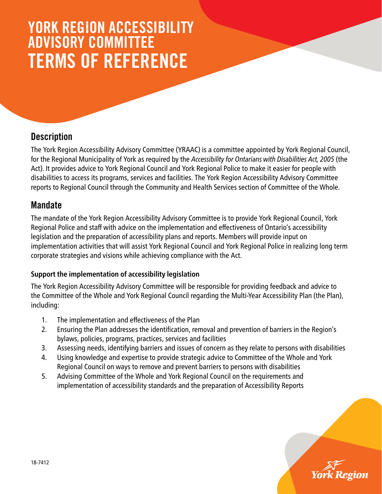# YORK REGION ACCESSIBILITY ADVISORY COMMITTEE TERMS OF REFERENCE

### **Description**

The York Region Accessibility Advisory Committee (YRAAC) is a committee appointed by York Regional Council, for the Regional Municipality of York as required by the *Accessibility for Ontarians with Disabilities Act, 2005* (the Act). It provides advice to York Regional Council and York Regional Police to make it easier for people with disabilities to access its programs, services and facilities. The York Region Accessibility Advisory Committee reports to Regional Council through the Community and Health Services section of Committee of the Whole.

#### **Mandate**

The mandate of the York Region Accessibility Advisory Committee is to provide York Regional Council, York Regional Police and staff with advice on the implementation and effectiveness of Ontario's accessibility legislation and the preparation of accessibility plans and reports. Members will provide input on implementation activities that will assist York Regional Council and York Regional Police in realizing long term corporate strategies and visions while achieving compliance with the Act.

#### **Support the implementation of accessibility legislation**

The York Region Accessibility Advisory Committee will be responsible for providing feedback and advice to the Committee of the Whole and York Regional Council regarding the Multi-Year Accessibility Plan (the Plan), including:

- 1. The implementation and effectiveness of the Plan
- 2. Ensuring the Plan addresses the identification, removal and prevention of barriers in the Region's bylaws, policies, programs, practices, services and facilities
- 3. Assessing needs, identifying barriers and issues of concern as they relate to persons with disabilities
- 4. Using knowledge and expertise to provide strategic advice to Committee of the Whole and York Regional Council on ways to remove and prevent barriers to persons with disabilities
- 5. Advising Committee of the Whole and York Regional Council on the requirements and implementation of accessibility standards and the preparation of Accessibility Reports

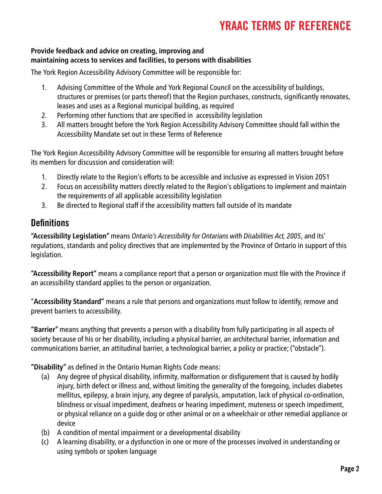#### **Provide feedback and advice on creating, improving and maintaining access to services and facilities, to persons with disabilities**

The York Region Accessibility Advisory Committee will be responsible for:

- 1. Advising Committee of the Whole and York Regional Council on the accessibility of buildings, structures or premises (or parts thereof) that the Region purchases, constructs, significantly renovates, leases and uses as a Regional municipal building, as required
- 2. Performing other functions that are specified in accessibility legislation
- 3. All matters brought before the York Region Accessibility Advisory Committee should fall within the Accessibility Mandate set out in these Terms of Reference

The York Region Accessibility Advisory Committee will be responsible for ensuring all matters brought before its members for discussion and consideration will:

- 1. Directly relate to the Region's efforts to be accessible and inclusive as expressed in Vision 2051
- 2. Focus on accessibility matters directly related to the Region's obligations to implement and maintain the requirements of all applicable accessibility legislation
- 3. Be directed to Regional staff if the accessibility matters fall outside of its mandate

## **Definitions**

**"Accessibility Legislation"** means *Ontario's Accessibility for Ontarians with Disabilities Act, 2005*, and its' regulations, standards and policy directives that are implemented by the Province of Ontario in support of this legislation.

**"Accessibility Report"** means a compliance report that a person or organization must file with the Province if an accessibility standard applies to the person or organization.

"**Accessibility Standard"** means a rule that persons and organizations must follow to identify, remove and prevent barriers to accessibility.

**"Barrier"** means anything that prevents a person with a disability from fully participating in all aspects of society because of his or her disability, including a physical barrier, an architectural barrier, information and communications barrier, an attitudinal barrier, a technological barrier, a policy or practice; ("obstacle").

**"Disability"** as defined in the Ontario Human Rights Code means:

- (a) Any degree of physical disability, infirmity, malformation or disfigurement that is caused by bodily injury, birth defect or illness and, without limiting the generality of the foregoing, includes diabetes mellitus, epilepsy, a brain injury, any degree of paralysis, amputation, lack of physical co-ordination, blindness or visual impediment, deafness or hearing impediment, muteness or speech impediment, or physical reliance on a guide dog or other animal or on a wheelchair or other remedial appliance or device
- (b) A condition of mental impairment or a developmental disability
- (c) A learning disability, or a dysfunction in one or more of the processes involved in understanding or using symbols or spoken language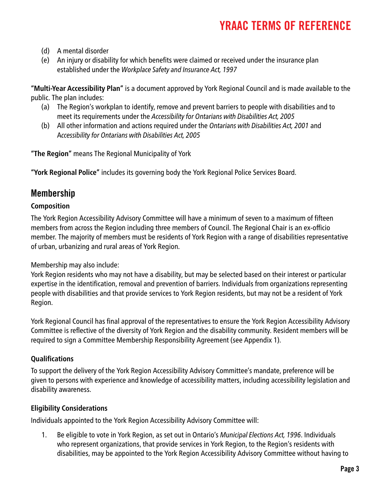- (d) A mental disorder
- (e) An injury or disability for which benefits were claimed or received under the insurance plan established under the *Workplace Safety and Insurance Act, 1997*

**"Multi-Year Accessibility Plan"** is a document approved by York Regional Council and is made available to the public. The plan includes:

- (a) The Region's workplan to identify, remove and prevent barriers to people with disabilities and to meet its requirements under the *Accessibility for Ontarians with Disabilities Act, 2005*
- (b) All other information and actions required under the *Ontarians with Disabilities Act, 2001* and A*ccessibility for Ontarians with Disabilities Act, 2005*

**"The Region"** means The Regional Municipality of York

**"York Regional Police"** includes its governing body the York Regional Police Services Board.

## Membership

#### **Composition**

The York Region Accessibility Advisory Committee will have a minimum of seven to a maximum of fifteen members from across the Region including three members of Council. The Regional Chair is an ex-officio member. The majority of members must be residents of York Region with a range of disabilities representative of urban, urbanizing and rural areas of York Region.

Membership may also include:

York Region residents who may not have a disability, but may be selected based on their interest or particular expertise in the identification, removal and prevention of barriers. Individuals from organizations representing people with disabilities and that provide services to York Region residents, but may not be a resident of York Region.

York Regional Council has final approval of the representatives to ensure the York Region Accessibility Advisory Committee is reflective of the diversity of York Region and the disability community. Resident members will be required to sign a Committee Membership Responsibility Agreement (see Appendix 1).

#### **Qualifications**

To support the delivery of the York Region Accessibility Advisory Committee's mandate, preference will be given to persons with experience and knowledge of accessibility matters, including accessibility legislation and disability awareness.

#### **Eligibility Considerations**

Individuals appointed to the York Region Accessibility Advisory Committee will:

1. Be eligible to vote in York Region, as set out in Ontario's *Municipal Elections Act, 1996*. Individuals who represent organizations, that provide services in York Region, to the Region's residents with disabilities, may be appointed to the York Region Accessibility Advisory Committee without having to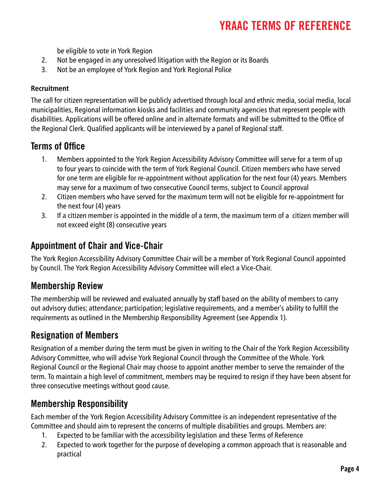be eligible to vote in York Region

- 2. Not be engaged in any unresolved litigation with the Region or its Boards
- 3. Not be an employee of York Region and York Regional Police

#### **Recruitment**

The call for citizen representation will be publicly advertised through local and ethnic media, social media, local municipalities, Regional information kiosks and facilities and community agencies that represent people with disabilities. Applications will be offered online and in alternate formats and will be submitted to the Office of the Regional Clerk. Qualified applicants will be interviewed by a panel of Regional staff.

## Terms of Office

- 1. Members appointed to the York Region Accessibility Advisory Committee will serve for a term of up to four years to coincide with the term of York Regional Council. Citizen members who have served for one term are eligible for re-appointment without application for the next four (4) years. Members may serve for a maximum of two consecutive Council terms, subject to Council approval
- 2. Citizen members who have served for the maximum term will not be eligible for re-appointment for the next four (4) years
- 3. If a citizen member is appointed in the middle of a term, the maximum term of a citizen member will not exceed eight (8) consecutive years

### Appointment of Chair and Vice-Chair

The York Region Accessibility Advisory Committee Chair will be a member of York Regional Council appointed by Council. The York Region Accessibility Advisory Committee will elect a Vice-Chair.

## Membership Review

The membership will be reviewed and evaluated annually by staff based on the ability of members to carry out advisory duties; attendance; participation; legislative requirements, and a member's ability to fulfill the requirements as outlined in the Membership Responsibility Agreement (see Appendix 1).

## Resignation of Members

Resignation of a member during the term must be given in writing to the Chair of the York Region Accessibility Advisory Committee, who will advise York Regional Council through the Committee of the Whole. York Regional Council or the Regional Chair may choose to appoint another member to serve the remainder of the term. To maintain a high level of commitment, members may be required to resign if they have been absent for three consecutive meetings without good cause.

## Membership Responsibility

Each member of the York Region Accessibility Advisory Committee is an independent representative of the Committee and should aim to represent the concerns of multiple disabilities and groups. Members are:

- 1. Expected to be familiar with the accessibility legislation and these Terms of Reference
- 2. Expected to work together for the purpose of developing a common approach that is reasonable and practical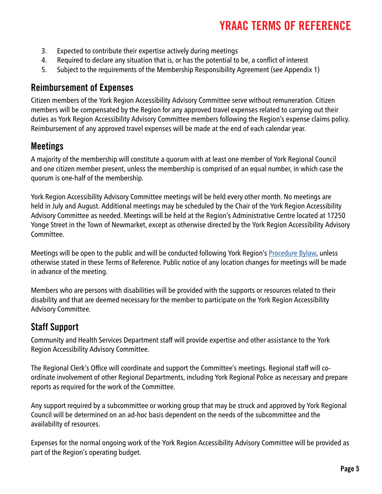- 3. Expected to contribute their expertise actively during meetings
- 4. Required to declare any situation that is, or has the potential to be, a conflict of interest
- 5. Subject to the requirements of the Membership Responsibility Agreement (see Appendix 1)

## Reimbursement of Expenses

Citizen members of the York Region Accessibility Advisory Committee serve without remuneration. Citizen members will be compensated by the Region for any approved travel expenses related to carrying out their duties as York Region Accessibility Advisory Committee members following the Region's expense claims policy. Reimbursement of any approved travel expenses will be made at the end of each calendar year.

## Meetings

A majority of the membership will constitute a quorum with at least one member of York Regional Council and one citizen member present, unless the membership is comprised of an equal number, in which case the quorum is one-half of the membership.

York Region Accessibility Advisory Committee meetings will be held every other month. No meetings are held in July and August. Additional meetings may be scheduled by the Chair of the York Region Accessibility Advisory Committee as needed. Meetings will be held at the Region's Administrative Centre located at 17250 Yonge Street in the Town of Newmarket, except as otherwise directed by the York Region Accessibility Advisory Committee.

Meetings will be open to the public and will be conducted following York Region's [Procedure Bylaw](http://www.york.ca/wps/portal/yorkhome/yorkregion/yr/bylaws/procedurebylaw/!ut/p/a1/jY_NDoIwEISfhQcwuzT89NrUaFskeLP2YioiNkEgiBp9epF4VZzbTL7ZzYABDaa2N1fa3jW1rd7eRDvJllKIBFUWUI4MM6ZITJEm8QBsBwC_iOFUX_3xgHQpT0swre1PM1cfG9D7R2XvF9Bt1-TF4doVYwAbMOM9QoJI-BwVioyiXMTrcE6FjzycABLyAX4sas_6uRLoJPO8F9QLlQQ!/dl5/d5/L2dBISEvZ0FBIS9nQSEh/#.W7NrkS8ZPEZ), unless otherwise stated in these Terms of Reference. Public notice of any location changes for meetings will be made in advance of the meeting.

Members who are persons with disabilities will be provided with the supports or resources related to their disability and that are deemed necessary for the member to participate on the York Region Accessibility Advisory Committee.

## Staff Support

Community and Health Services Department staff will provide expertise and other assistance to the York Region Accessibility Advisory Committee.

The Regional Clerk's Office will coordinate and support the Committee's meetings. Regional staff will coordinate involvement of other Regional Departments, including York Regional Police as necessary and prepare reports as required for the work of the Committee.

Any support required by a subcommittee or working group that may be struck and approved by York Regional Council will be determined on an ad-hoc basis dependent on the needs of the subcommittee and the availability of resources.

Expenses for the normal ongoing work of the York Region Accessibility Advisory Committee will be provided as part of the Region's operating budget.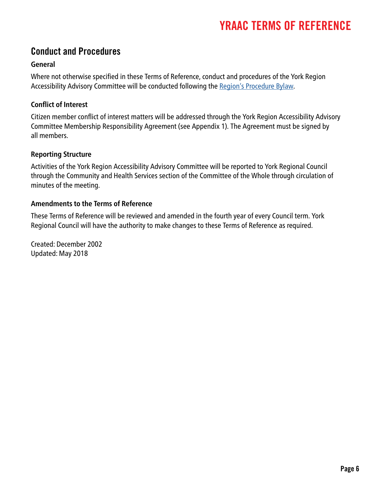### Conduct and Procedures

#### **General**

Where not otherwise specified in these Terms of Reference, conduct and procedures of the York Region Accessibility Advisory Committee will be conducted following the [Region's Procedure Bylaw](http://www.york.ca/wps/portal/yorkhome/yorkregion/yr/bylaws/procedurebylaw/!ut/p/a1/jY_NDoIwEISfhQcwuzT89NrUaFskeLP2YioiNkEgiBp9epF4VZzbTL7ZzYABDaa2N1fa3jW1rd7eRDvJllKIBFUWUI4MM6ZITJEm8QBsBwC_iOFUX_3xgHQpT0swre1PM1cfG9D7R2XvF9Bt1-TF4doVYwAbMOM9QoJI-BwVioyiXMTrcE6FjzycABLyAX4sas_6uRLoJPO8F9QLlQQ!/dl5/d5/L2dBISEvZ0FBIS9nQSEh/#.W7NsFi8ZPEZ).

#### **Conflict of Interest**

Citizen member conflict of interest matters will be addressed through the York Region Accessibility Advisory Committee Membership Responsibility Agreement (see Appendix 1). The Agreement must be signed by all members.

#### **Reporting Structure**

Activities of the York Region Accessibility Advisory Committee will be reported to York Regional Council through the Community and Health Services section of the Committee of the Whole through circulation of minutes of the meeting.

#### **Amendments to the Terms of Reference**

These Terms of Reference will be reviewed and amended in the fourth year of every Council term. York Regional Council will have the authority to make changes to these Terms of Reference as required.

Created: December 2002 Updated: May 2018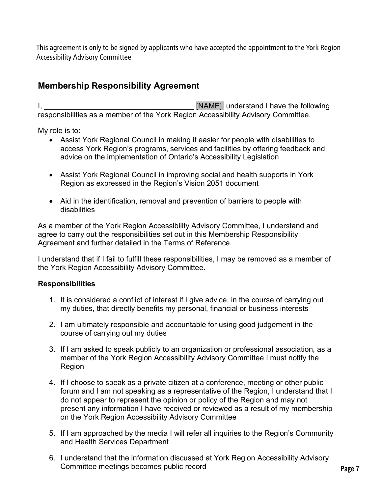This agreement is only to be signed by applicants who have accepted the appointment to the York Region Accessibility Advisory Committee

#### **Membership Responsibility Agreement**

I, the contract of the state of the state of  $\blacksquare$  [NAME], understand I have the following responsibilities as a member of the York Region Accessibility Advisory Committee.

My role is to:

- Assist York Regional Council in making it easier for people with disabilities to access York Region's programs, services and facilities by offering feedback and advice on the implementation of Ontario's Accessibility Legislation
- Assist York Regional Council in improving social and health supports in York Region as expressed in the Region's Vision 2051 document
- Aid in the identification, removal and prevention of barriers to people with disabilities

As a member of the York Region Accessibility Advisory Committee, I understand and agree to carry out the responsibilities set out in this Membership Responsibility Agreement and further detailed in the Terms of Reference.

I understand that if I fail to fulfill these responsibilities, I may be removed as a member of the York Region Accessibility Advisory Committee.

#### **Responsibilities**

- 1. It is considered a conflict of interest if I give advice, in the course of carrying out my duties, that directly benefits my personal, financial or business interests
- 2. I am ultimately responsible and accountable for using good judgement in the course of carrying out my duties
- 3. If I am asked to speak publicly to an organization or professional association, as a member of the York Region Accessibility Advisory Committee I must notify the Region
- 4. If I choose to speak as a private citizen at a conference, meeting or other public forum and I am not speaking as a representative of the Region, I understand that I do not appear to represent the opinion or policy of the Region and may not present any information I have received or reviewed as a result of my membership on the York Region Accessibility Advisory Committee
- 5. If I am approached by the media I will refer all inquiries to the Region's Community and Health Services Department
- 6. I understand that the information discussed at York Region Accessibility Advisory Committee meetings becomes public record